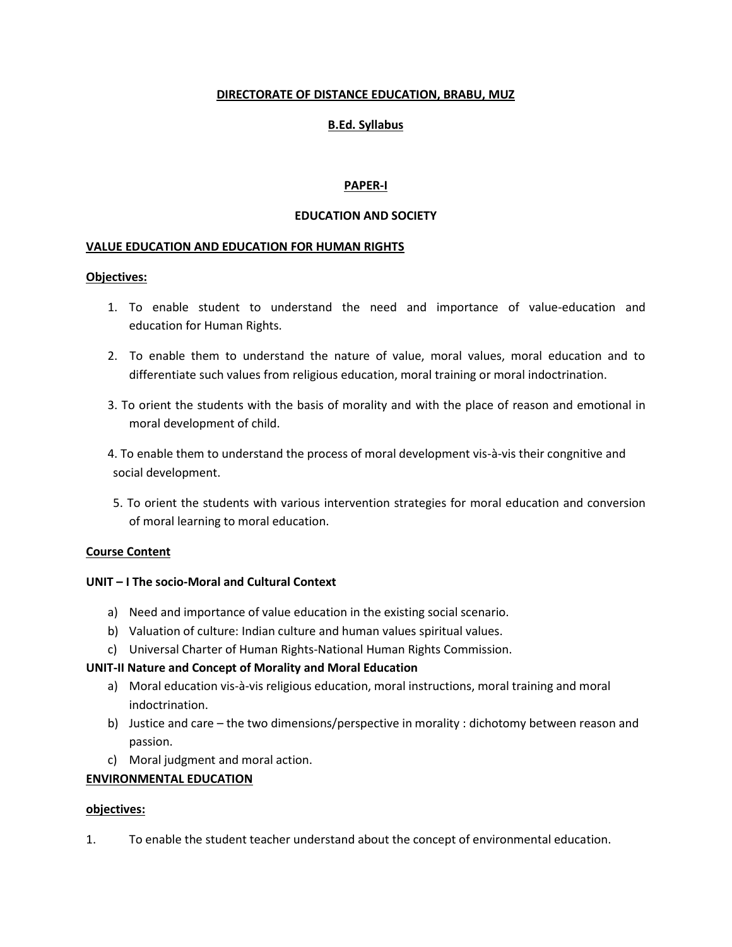### **DIRECTORATE OF DISTANCE EDUCATION, BRABU, MUZ**

# **B.Ed. Syllabus**

### **PAPER-I**

### **EDUCATION AND SOCIETY**

### **VALUE EDUCATION AND EDUCATION FOR HUMAN RIGHTS**

### **Objectives:**

- 1. To enable student to understand the need and importance of value-education and education for Human Rights.
- 2. To enable them to understand the nature of value, moral values, moral education and to differentiate such values from religious education, moral training or moral indoctrination.
- 3. To orient the students with the basis of morality and with the place of reason and emotional in moral development of child.
- 4. To enable them to understand the process of moral development vis-à-vis their congnitive and social development.
- 5. To orient the students with various intervention strategies for moral education and conversion of moral learning to moral education.

### **Course Content**

### **UNIT – I The socio-Moral and Cultural Context**

- a) Need and importance of value education in the existing social scenario.
- b) Valuation of culture: Indian culture and human values spiritual values.
- c) Universal Charter of Human Rights-National Human Rights Commission.

### **UNIT-II Nature and Concept of Morality and Moral Education**

- a) Moral education vis-à-vis religious education, moral instructions, moral training and moral indoctrination.
- b) Justice and care the two dimensions/perspective in morality : dichotomy between reason and passion.
- c) Moral judgment and moral action.

### **ENVIRONMENTAL EDUCATION**

### **objectives:**

1. To enable the student teacher understand about the concept of environmental education.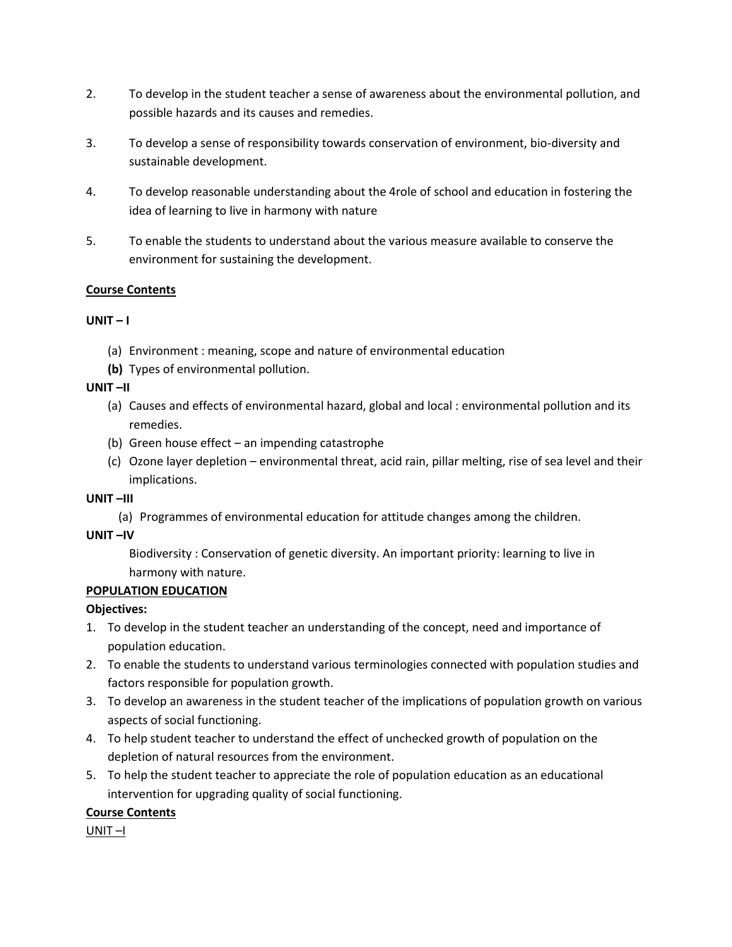- 2. To develop in the student teacher a sense of awareness about the environmental pollution, and possible hazards and its causes and remedies.
- 3. To develop a sense of responsibility towards conservation of environment, bio-diversity and sustainable development.
- 4. To develop reasonable understanding about the 4role of school and education in fostering the idea of learning to live in harmony with nature
- 5. To enable the students to understand about the various measure available to conserve the environment for sustaining the development.

# **Course Contents**

# $UNIT - I$

- (a) Environment : meaning, scope and nature of environmental education
- **(b)** Types of environmental pollution.

# **UNIT –II**

- (a) Causes and effects of environmental hazard, global and local : environmental pollution and its remedies.
- (b) Green house effect an impending catastrophe
- (c) Ozone layer depletion environmental threat, acid rain, pillar melting, rise of sea level and their implications.

# **UNIT –III**

(a) Programmes of environmental education for attitude changes among the children.

# **UNIT –IV**

Biodiversity : Conservation of genetic diversity. An important priority: learning to live in harmony with nature.

# **POPULATION EDUCATION**

# **Objectives:**

- 1. To develop in the student teacher an understanding of the concept, need and importance of population education.
- 2. To enable the students to understand various terminologies connected with population studies and factors responsible for population growth.
- 3. To develop an awareness in the student teacher of the implications of population growth on various aspects of social functioning.
- 4. To help student teacher to understand the effect of unchecked growth of population on the depletion of natural resources from the environment.
- 5. To help the student teacher to appreciate the role of population education as an educational intervention for upgrading quality of social functioning.

# **Course Contents**

UNIT –I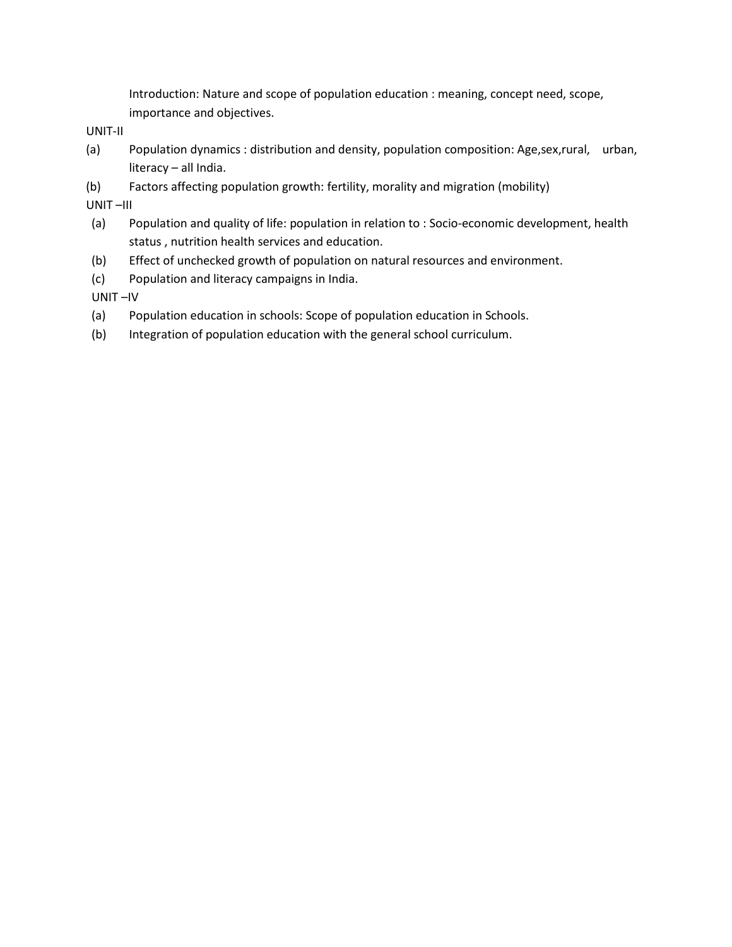Introduction: Nature and scope of population education : meaning, concept need, scope, importance and objectives.

UNIT-II

- (a) Population dynamics : distribution and density, population composition: Age,sex,rural, urban, literacy – all India.
- (b) Factors affecting population growth: fertility, morality and migration (mobility)

UNIT –III

- (a) Population and quality of life: population in relation to : Socio-economic development, health status , nutrition health services and education.
- (b) Effect of unchecked growth of population on natural resources and environment.
- (c) Population and literacy campaigns in India.

UNIT –IV

- (a) Population education in schools: Scope of population education in Schools.
- (b) Integration of population education with the general school curriculum.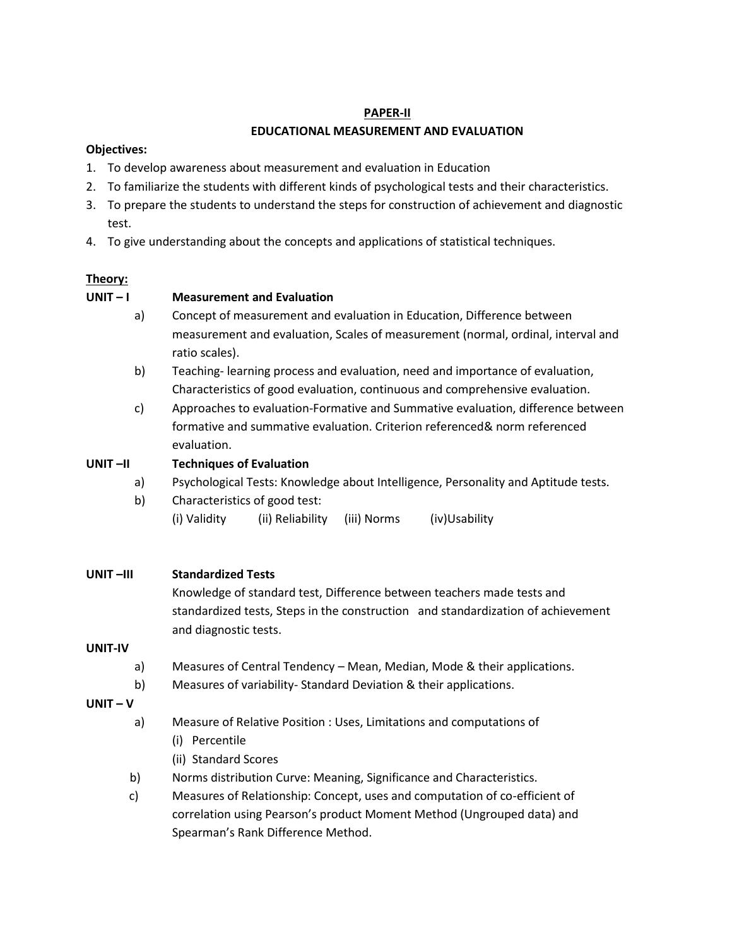### **PAPER-II**

# **EDUCATIONAL MEASUREMENT AND EVALUATION**

# **Objectives:**

- 1. To develop awareness about measurement and evaluation in Education
- 2. To familiarize the students with different kinds of psychological tests and their characteristics.
- 3. To prepare the students to understand the steps for construction of achievement and diagnostic test.
- 4. To give understanding about the concepts and applications of statistical techniques.

# **Theory:**

# **UNIT – I Measurement and Evaluation**

- a) Concept of measurement and evaluation in Education, Difference between measurement and evaluation, Scales of measurement (normal, ordinal, interval and ratio scales).
- b) Teaching- learning process and evaluation, need and importance of evaluation, Characteristics of good evaluation, continuous and comprehensive evaluation.
- c) Approaches to evaluation-Formative and Summative evaluation, difference between formative and summative evaluation. Criterion referenced& norm referenced evaluation.

# **UNIT –II Techniques of Evaluation**

- a) Psychological Tests: Knowledge about Intelligence, Personality and Aptitude tests.
- b) Characteristics of good test: (i) Validity (ii) Reliability (iii) Norms (iv)Usability
- **UNIT –III Standardized Tests**

Knowledge of standard test, Difference between teachers made tests and standardized tests, Steps in the construction and standardization of achievement and diagnostic tests.

# **UNIT-IV**

- a) Measures of Central Tendency Mean, Median, Mode & their applications.
- b) Measures of variability- Standard Deviation & their applications.

# **UNIT – V**

- a) Measure of Relative Position : Uses, Limitations and computations of
	- (i) Percentile
	- (ii) Standard Scores
- b) Norms distribution Curve: Meaning, Significance and Characteristics.
- c) Measures of Relationship: Concept, uses and computation of co-efficient of correlation using Pearson's product Moment Method (Ungrouped data) and Spearman's Rank Difference Method.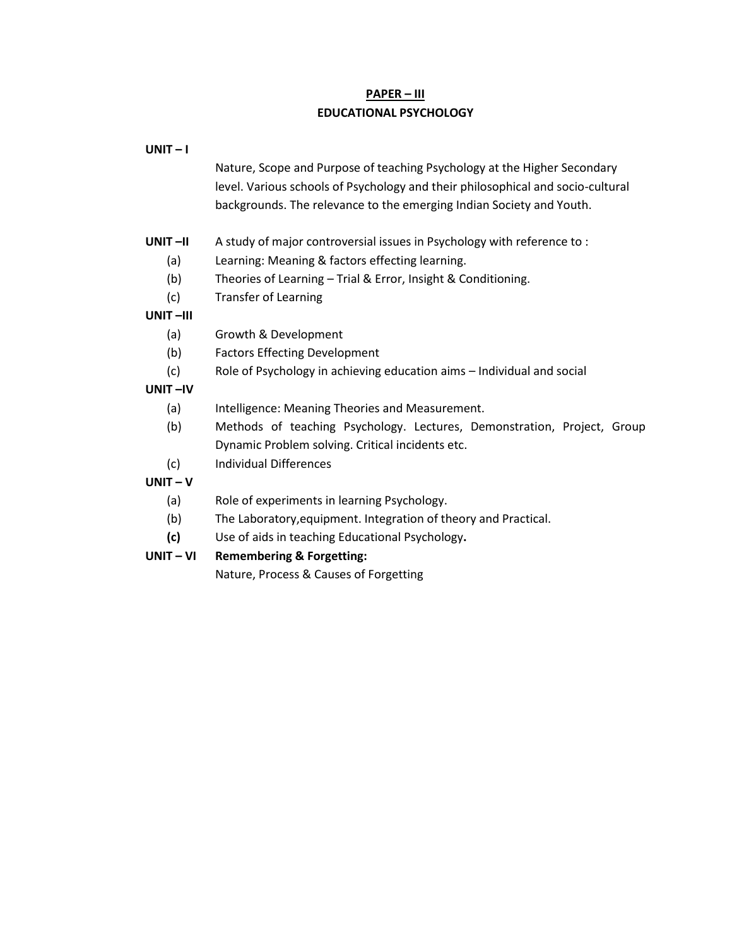# **PAPER – III EDUCATIONAL PSYCHOLOGY**

| $UNIT-I$   |                                                                                                                                                                                                                                     |
|------------|-------------------------------------------------------------------------------------------------------------------------------------------------------------------------------------------------------------------------------------|
|            | Nature, Scope and Purpose of teaching Psychology at the Higher Secondary<br>level. Various schools of Psychology and their philosophical and socio-cultural<br>backgrounds. The relevance to the emerging Indian Society and Youth. |
| $UNIT$ -II | A study of major controversial issues in Psychology with reference to:                                                                                                                                                              |
| (a)        | Learning: Meaning & factors effecting learning.                                                                                                                                                                                     |
| (b)        | Theories of Learning - Trial & Error, Insight & Conditioning.                                                                                                                                                                       |
| (c)        | <b>Transfer of Learning</b>                                                                                                                                                                                                         |
| UNIT-III   |                                                                                                                                                                                                                                     |
| (a)        | Growth & Development                                                                                                                                                                                                                |
| (b)        | <b>Factors Effecting Development</b>                                                                                                                                                                                                |
| (c)        | Role of Psychology in achieving education aims - Individual and social                                                                                                                                                              |
| UNIT-IV    |                                                                                                                                                                                                                                     |
| (a)        | Intelligence: Meaning Theories and Measurement.                                                                                                                                                                                     |
| (b)        | Methods of teaching Psychology. Lectures, Demonstration, Project, Group                                                                                                                                                             |
|            | Dynamic Problem solving. Critical incidents etc.                                                                                                                                                                                    |
| (c)        | <b>Individual Differences</b>                                                                                                                                                                                                       |
| $UNIT-V$   |                                                                                                                                                                                                                                     |
| (a)        | Role of experiments in learning Psychology.                                                                                                                                                                                         |
| (b)        | The Laboratory, equipment. Integration of theory and Practical.                                                                                                                                                                     |

**(c)** Use of aids in teaching Educational Psychology**.**

# **UNIT – VI Remembering & Forgetting:**

Nature, Process & Causes of Forgetting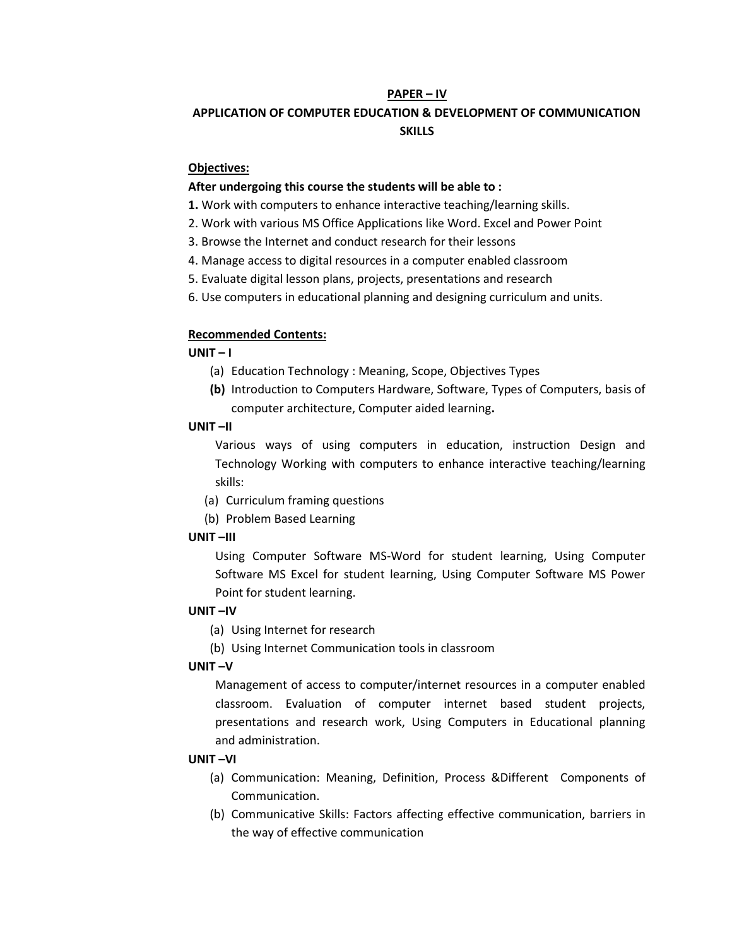### **PAPER – IV**

# **APPLICATION OF COMPUTER EDUCATION & DEVELOPMENT OF COMMUNICATION SKILLS**

### **Objectives:**

### **After undergoing this course the students will be able to :**

- **1.** Work with computers to enhance interactive teaching/learning skills.
- 2. Work with various MS Office Applications like Word. Excel and Power Point
- 3. Browse the Internet and conduct research for their lessons
- 4. Manage access to digital resources in a computer enabled classroom
- 5. Evaluate digital lesson plans, projects, presentations and research
- 6. Use computers in educational planning and designing curriculum and units.

### **Recommended Contents:**

### **UNIT – I**

- (a) Education Technology : Meaning, Scope, Objectives Types
- **(b)** Introduction to Computers Hardware, Software, Types of Computers, basis of computer architecture, Computer aided learning**.**

### **UNIT –II**

Various ways of using computers in education, instruction Design and Technology Working with computers to enhance interactive teaching/learning skills:

- (a) Curriculum framing questions
- (b) Problem Based Learning

### **UNIT –III**

Using Computer Software MS-Word for student learning, Using Computer Software MS Excel for student learning, Using Computer Software MS Power Point for student learning.

## **UNIT –IV**

- (a) Using Internet for research
- (b) Using Internet Communication tools in classroom

### **UNIT –V**

Management of access to computer/internet resources in a computer enabled classroom. Evaluation of computer internet based student projects, presentations and research work, Using Computers in Educational planning and administration.

### **UNIT –VI**

- (a) Communication: Meaning, Definition, Process &Different Components of Communication.
- (b) Communicative Skills: Factors affecting effective communication, barriers in the way of effective communication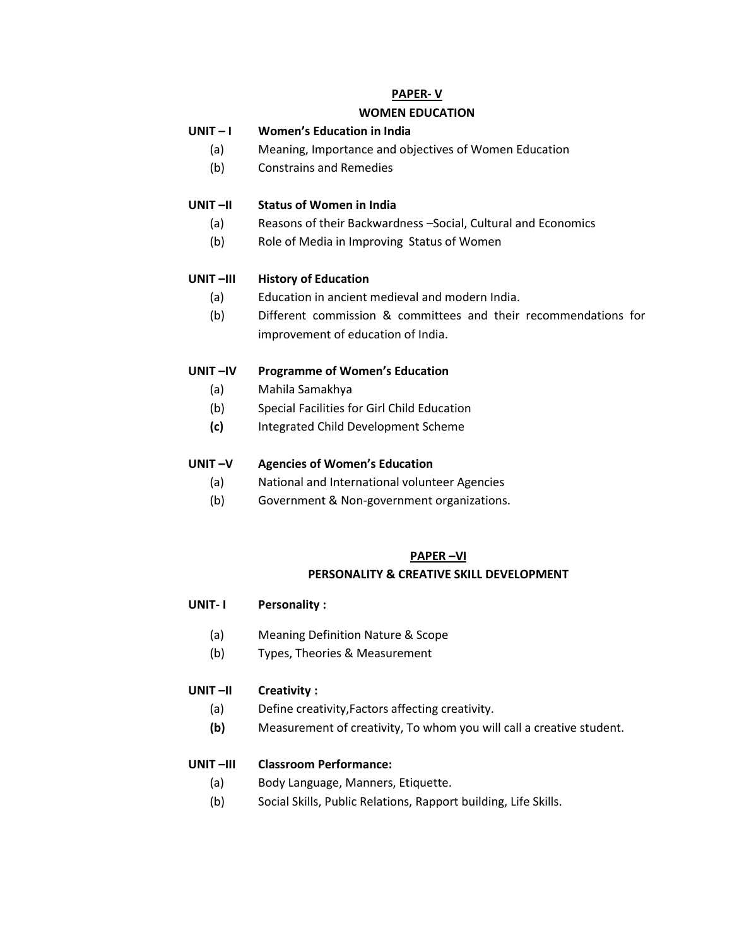# **PAPER- V**

# **WOMEN EDUCATION**

# **UNIT – I Women's Education in India**

- (a) Meaning, Importance and objectives of Women Education
- (b) Constrains and Remedies

## **UNIT –II Status of Women in India**

- (a) Reasons of their Backwardness –Social, Cultural and Economics
- (b) Role of Media in Improving Status of Women

## **UNIT –III History of Education**

- (a) Education in ancient medieval and modern India.
- (b) Different commission & committees and their recommendations for improvement of education of India.

## **UNIT –IV Programme of Women's Education**

- (a) Mahila Samakhya
- (b) Special Facilities for Girl Child Education
- **(c)** Integrated Child Development Scheme

## **UNIT –V Agencies of Women's Education**

- (a) National and International volunteer Agencies
- (b) Government & Non-government organizations.

### **PAPER –VI**

### **PERSONALITY & CREATIVE SKILL DEVELOPMENT**

- **UNIT- I Personality :**
	- (a) Meaning Definition Nature & Scope
	- (b) Types, Theories & Measurement

### **UNIT –II Creativity :**

- (a) Define creativity,Factors affecting creativity.
- **(b)** Measurement of creativity, To whom you will call a creative student.

### **UNIT –III Classroom Performance:**

- (a) Body Language, Manners, Etiquette.
- (b) Social Skills, Public Relations, Rapport building, Life Skills.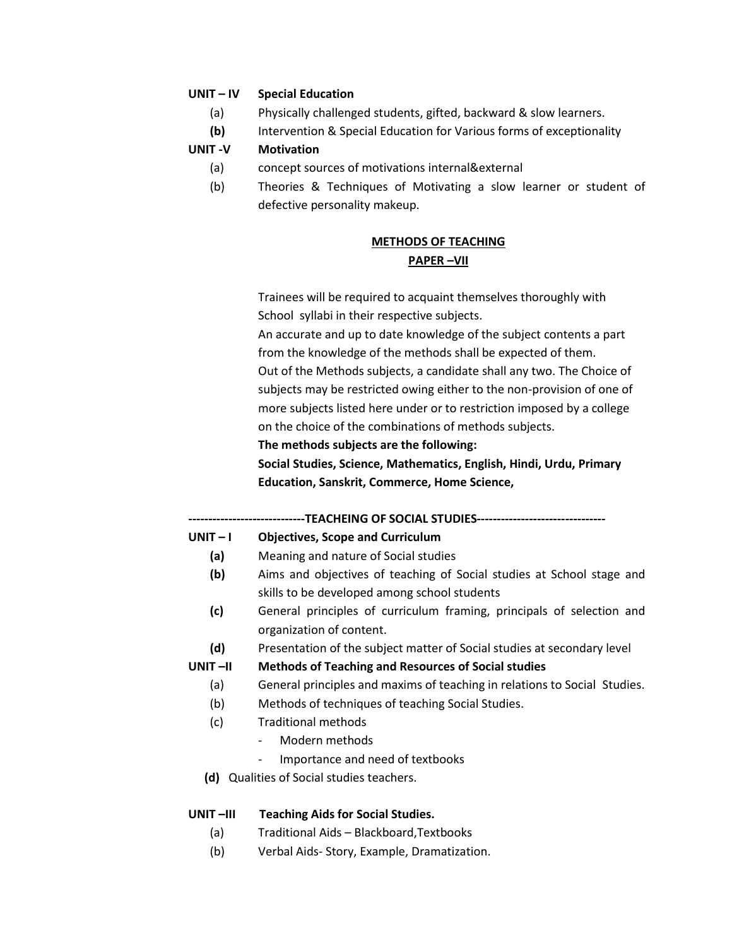### **UNIT – IV Special Education**

- (a) Physically challenged students, gifted, backward & slow learners.
- **(b)** Intervention & Special Education for Various forms of exceptionality

### **UNIT -V Motivation**

- (a) concept sources of motivations internal&external
- (b) Theories & Techniques of Motivating a slow learner or student of defective personality makeup.

# **METHODS OF TEACHING PAPER –VII**

Trainees will be required to acquaint themselves thoroughly with School syllabi in their respective subjects.

An accurate and up to date knowledge of the subject contents a part from the knowledge of the methods shall be expected of them.

Out of the Methods subjects, a candidate shall any two. The Choice of subjects may be restricted owing either to the non-provision of one of more subjects listed here under or to restriction imposed by a college on the choice of the combinations of methods subjects.

### **The methods subjects are the following:**

**Social Studies, Science, Mathematics, English, Hindi, Urdu, Primary Education, Sanskrit, Commerce, Home Science,**

### --TEACHEING OF SOCIAL STUDIES--------------

### **UNIT – I Objectives, Scope and Curriculum**

- **(a)** Meaning and nature of Social studies
- **(b)** Aims and objectives of teaching of Social studies at School stage and skills to be developed among school students
- **(c)** General principles of curriculum framing, principals of selection and organization of content.
- **(d)** Presentation of the subject matter of Social studies at secondary level

### **UNIT –II Methods of Teaching and Resources of Social studies**

- (a) General principles and maxims of teaching in relations to Social Studies.
- (b) Methods of techniques of teaching Social Studies.
- (c) Traditional methods
	- Modern methods
	- Importance and need of textbooks
- **(d)** Qualities of Social studies teachers.

### **UNIT –III Teaching Aids for Social Studies.**

- (a) Traditional Aids Blackboard,Textbooks
- (b) Verbal Aids- Story, Example, Dramatization.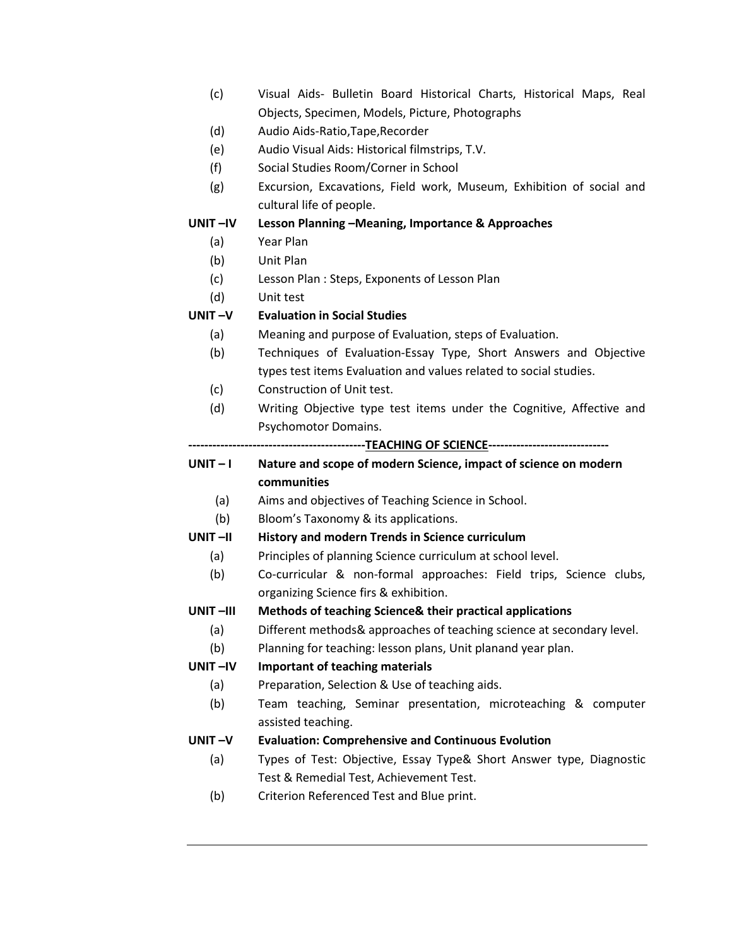- (c) Visual Aids- Bulletin Board Historical Charts, Historical Maps, Real Objects, Specimen, Models, Picture, Photographs
- (d) Audio Aids-Ratio,Tape,Recorder
- (e) Audio Visual Aids: Historical filmstrips, T.V.
- (f) Social Studies Room/Corner in School
- (g) Excursion, Excavations, Field work, Museum, Exhibition of social and cultural life of people.

### **UNIT –IV Lesson Planning –Meaning, Importance & Approaches**

- (a) Year Plan
- (b) Unit Plan
- (c) Lesson Plan : Steps, Exponents of Lesson Plan
- (d) Unit test

# **UNIT –V Evaluation in Social Studies**

- (a) Meaning and purpose of Evaluation, steps of Evaluation.
- (b) Techniques of Evaluation-Essay Type, Short Answers and Objective types test items Evaluation and values related to social studies.
- (c) Construction of Unit test.
- (d) Writing Objective type test items under the Cognitive, Affective and Psychomotor Domains.

**--------------------------------------------TEACHING OF SCIENCE------------------------------**

# **UNIT – I Nature and scope of modern Science, impact of science on modern communities**

- (a) Aims and objectives of Teaching Science in School.
- (b) Bloom's Taxonomy & its applications.

### **UNIT –II History and modern Trends in Science curriculum**

- (a) Principles of planning Science curriculum at school level.
- (b) Co-curricular & non-formal approaches: Field trips, Science clubs, organizing Science firs & exhibition.

## **UNIT –III Methods of teaching Science& their practical applications**

- (a) Different methods& approaches of teaching science at secondary level.
- (b) Planning for teaching: lesson plans, Unit planand year plan.

### **UNIT –IV Important of teaching materials**

- (a) Preparation, Selection & Use of teaching aids.
- (b) Team teaching, Seminar presentation, microteaching & computer assisted teaching.

### **UNIT –V Evaluation: Comprehensive and Continuous Evolution**

- (a) Types of Test: Objective, Essay Type& Short Answer type, Diagnostic Test & Remedial Test, Achievement Test.
- (b) Criterion Referenced Test and Blue print.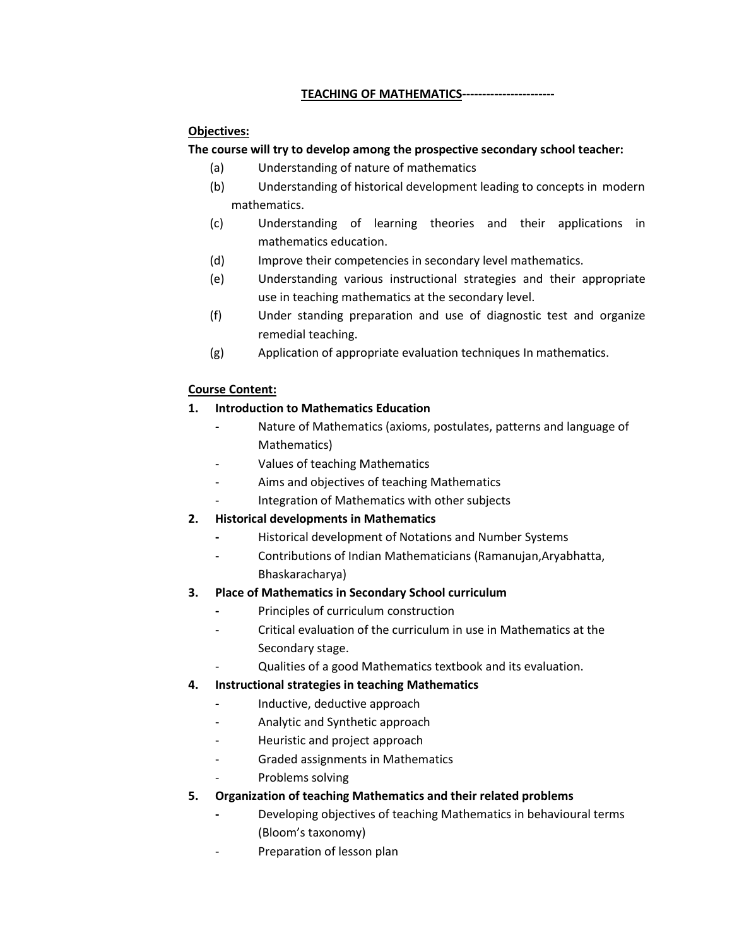# **TEACHING OF MATHEMATICS-----------------------**

# **Objectives:**

# **The course will try to develop among the prospective secondary school teacher:**

- (a) Understanding of nature of mathematics
- (b) Understanding of historical development leading to concepts in modern mathematics.
- (c) Understanding of learning theories and their applications in mathematics education.
- (d) Improve their competencies in secondary level mathematics.
- (e) Understanding various instructional strategies and their appropriate use in teaching mathematics at the secondary level.
- (f) Under standing preparation and use of diagnostic test and organize remedial teaching.
- (g) Application of appropriate evaluation techniques In mathematics.

## **Course Content:**

# **1. Introduction to Mathematics Education**

- **-** Nature of Mathematics (axioms, postulates, patterns and language of Mathematics)
- Values of teaching Mathematics
- Aims and objectives of teaching Mathematics
- Integration of Mathematics with other subjects

# **2. Historical developments in Mathematics**

- **-** Historical development of Notations and Number Systems
- Contributions of Indian Mathematicians (Ramanujan,Aryabhatta, Bhaskaracharya)

# **3. Place of Mathematics in Secondary School curriculum**

- **-** Principles of curriculum construction
- Critical evaluation of the curriculum in use in Mathematics at the Secondary stage.
- Qualities of a good Mathematics textbook and its evaluation.

# **4. Instructional strategies in teaching Mathematics**

- **-** Inductive, deductive approach
- Analytic and Synthetic approach
- Heuristic and project approach
- Graded assignments in Mathematics
- Problems solving
- **5. Organization of teaching Mathematics and their related problems**
	- **-** Developing objectives of teaching Mathematics in behavioural terms (Bloom's taxonomy)
	- Preparation of lesson plan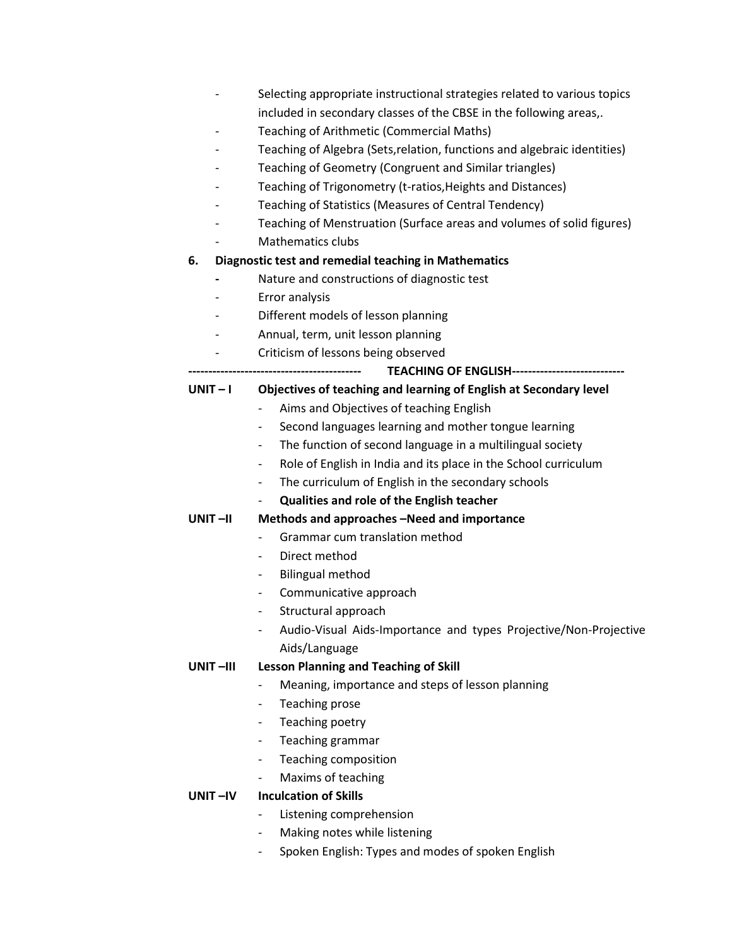- Selecting appropriate instructional strategies related to various topics included in secondary classes of the CBSE in the following areas,.
- Teaching of Arithmetic (Commercial Maths)
- Teaching of Algebra (Sets, relation, functions and algebraic identities)
- Teaching of Geometry (Congruent and Similar triangles)
- Teaching of Trigonometry (t-ratios, Heights and Distances)
- Teaching of Statistics (Measures of Central Tendency)
- Teaching of Menstruation (Surface areas and volumes of solid figures)
- Mathematics clubs

### **6. Diagnostic test and remedial teaching in Mathematics**

- **-** Nature and constructions of diagnostic test
- Error analysis
- Different models of lesson planning
- Annual, term, unit lesson planning
- Criticism of lessons being observed

### **------------------------------------------- TEACHING OF ENGLISH----------------------------**

### **UNIT – I Objectives of teaching and learning of English at Secondary level**

- Aims and Objectives of teaching English
- Second languages learning and mother tongue learning
- The function of second language in a multilingual society
- Role of English in India and its place in the School curriculum
- The curriculum of English in the secondary schools
- **Qualities and role of the English teacher**

### **UNIT –II Methods and approaches –Need and importance**

- Grammar cum translation method
- Direct method
- Bilingual method
- Communicative approach
- Structural approach
- Audio-Visual Aids-Importance and types Projective/Non-Projective Aids/Language

### **UNIT –III Lesson Planning and Teaching of Skill**

- Meaning, importance and steps of lesson planning
- Teaching prose
- Teaching poetry
- Teaching grammar
- Teaching composition
- Maxims of teaching

### **UNIT –IV Inculcation of Skills**

- Listening comprehension
- Making notes while listening
- Spoken English: Types and modes of spoken English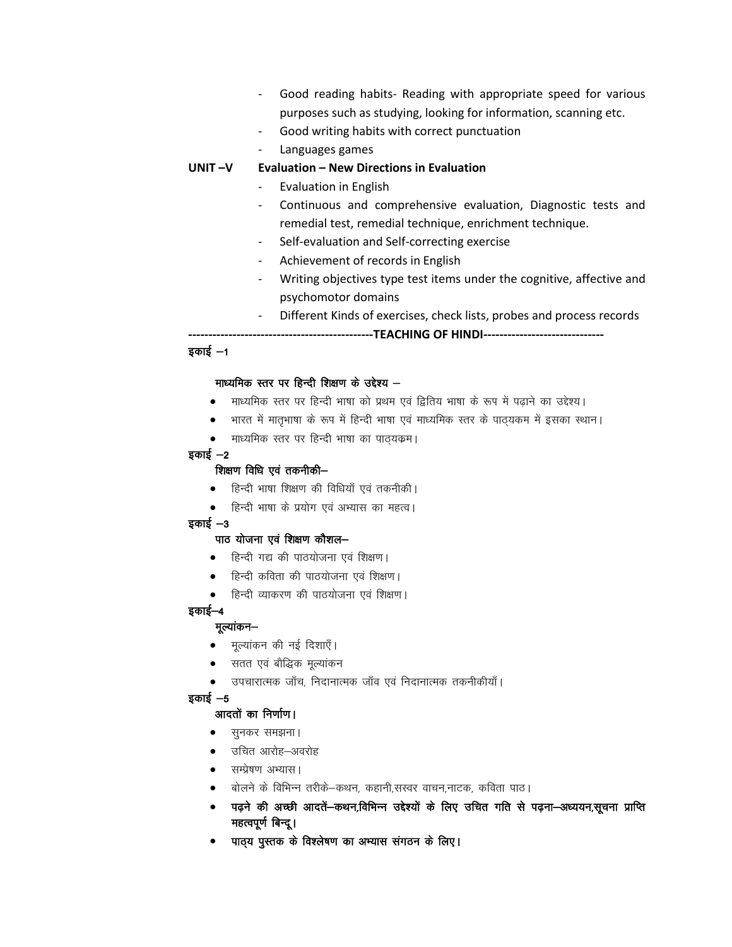- Good reading habits- Reading with appropriate speed for various purposes such as studying, looking for information, scanning etc.
- Good writing habits with correct punctuation
- Languages games

### **UNIT –V Evaluation – New Directions in Evaluation**

- Evaluation in English
- Continuous and comprehensive evaluation, Diagnostic tests and remedial test, remedial technique, enrichment technique.
- Self-evaluation and Self-correcting exercise
- Achievement of records in English
- Writing objectives type test items under the cognitive, affective and psychomotor domains
	- Different Kinds of exercises, check lists, probes and process records

**----------------------------------------------TEACHING OF HINDI------------------------------**

### $\frac{1}{2}$ काई  $-1$

#### माध्यमिक स्तर पर हिन्दी शिक्षण के उद्देश्य  $-$

- माध्यमिक स्तर पर हिन्दी भाषा को प्रथम एवं द्वितिय भाषा के रूप में पढ़ाने का उद्देश्य।
- भारत में मातृभाषा के रूप में हिन्दी भाषा एवं माध्यमिक स्तर के पाठ्यकम में इसका स्थान।
- माध्यमिक स्तर पर हिन्दी भाषा का पाठ्यक्रम।

#### इकाई  $-2$

### शिक्षण विधि एवं तकनीकी-

- हिन्दी भाषा शिक्षण की विधियाँ एवं तकनीकी।
- हिन्दी भाषा के प्रयोग एवं अभ्यास का महत्व।

#### $\overline{s}$ कार्ड $-3$

#### पाठ योजना एवं शिक्षण कौशल-

- हिन्दी गद्य की पाठयोजना एवं शिक्षण।
- हिन्दी कविता की पाठयोजना एवं शिक्षण।
- हिन्दी व्याकरण की पाठयोजना एवं शिक्षण।

### इकाई–4

#### मुल्यांकन—

- मूल्यांकन की नई दिशाएँ।
- सतत एवं बौद्धिक मूल्यांकन
- उपचारात्मक जाँच, निदानात्मक जाँव एवं निदानात्मक तकनीकीयाँ।

#### इकाई $-5$

#### आदतों का निर्णाण।

- सुनकर समझना।
- उचित आरोह–अवरोह
- सम्प्रेषण अभ्यास।
- बोलने के विभिन्न तरीके-कथन, कहानी,सस्वर वाचन,नाटक, कविता पाठ।
- पढ़ने की अच्छी आदतें-कथन,विभिन्न उद्देश्यों के लिए उचित गति से पढ़ना-अध्ययन,सूचना प्राप्ति महत्वपूर्ण बिन्दू।
- पाठ्य पुस्तक के विश्लेषण का अभ्यास संगठन के लिए।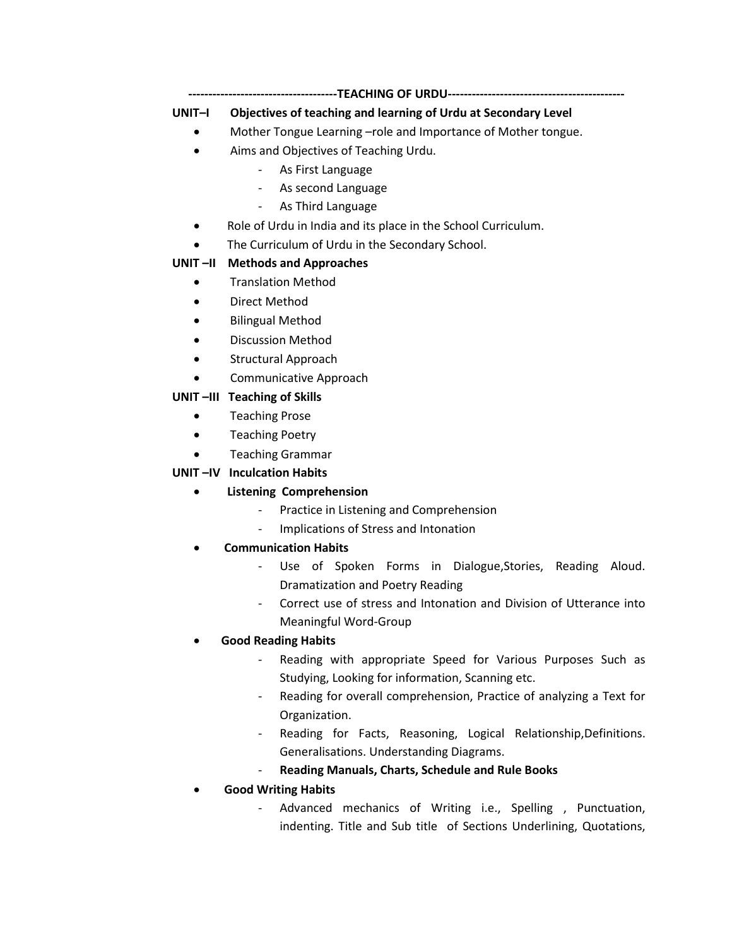# **UNIT–I Objectives of teaching and learning of Urdu at Secondary Level**

- Mother Tongue Learning –role and Importance of Mother tongue.
- Aims and Objectives of Teaching Urdu.
	- As First Language
	- As second Language
	- As Third Language
- Role of Urdu in India and its place in the School Curriculum.
- The Curriculum of Urdu in the Secondary School.

# **UNIT –II Methods and Approaches**

- **•** Translation Method
- Direct Method
- Bilingual Method
- Discussion Method
- Structural Approach
- Communicative Approach

## **UNIT –III Teaching of Skills**

- Teaching Prose
- **•** Teaching Poetry
- Teaching Grammar

# **UNIT –IV Inculcation Habits**

- **Listening Comprehension**
	- Practice in Listening and Comprehension
	- Implications of Stress and Intonation
- **Communication Habits**
	- Use of Spoken Forms in Dialogue, Stories, Reading Aloud. Dramatization and Poetry Reading
	- Correct use of stress and Intonation and Division of Utterance into Meaningful Word-Group

# **Good Reading Habits**

- Reading with appropriate Speed for Various Purposes Such as Studying, Looking for information, Scanning etc.
- Reading for overall comprehension, Practice of analyzing a Text for Organization.
- Reading for Facts, Reasoning, Logical Relationship, Definitions. Generalisations. Understanding Diagrams.
- **Reading Manuals, Charts, Schedule and Rule Books**
- **Good Writing Habits**
	- Advanced mechanics of Writing i.e., Spelling , Punctuation, indenting. Title and Sub title of Sections Underlining, Quotations,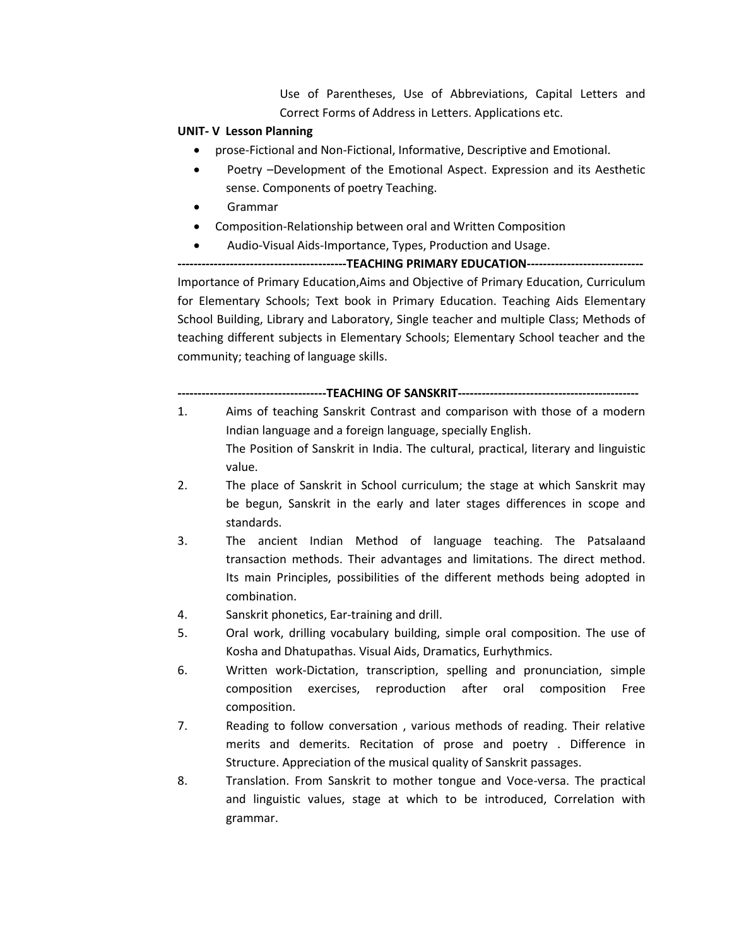Use of Parentheses, Use of Abbreviations, Capital Letters and Correct Forms of Address in Letters. Applications etc.

### **UNIT- V Lesson Planning**

- prose-Fictional and Non-Fictional, Informative, Descriptive and Emotional.
- Poetry –Development of the Emotional Aspect. Expression and its Aesthetic sense. Components of poetry Teaching.
- Grammar
- Composition-Relationship between oral and Written Composition
- Audio-Visual Aids-Importance, Types, Production and Usage.

**------------------------------------------TEACHING PRIMARY EDUCATION-----------------------------** Importance of Primary Education,Aims and Objective of Primary Education, Curriculum for Elementary Schools; Text book in Primary Education. Teaching Aids Elementary School Building, Library and Laboratory, Single teacher and multiple Class; Methods of teaching different subjects in Elementary Schools; Elementary School teacher and the community; teaching of language skills.

### **-------------------------------------TEACHING OF SANSKRIT---------------------------------------------**

- 1. Aims of teaching Sanskrit Contrast and comparison with those of a modern Indian language and a foreign language, specially English. The Position of Sanskrit in India. The cultural, practical, literary and linguistic value.
- 2. The place of Sanskrit in School curriculum; the stage at which Sanskrit may be begun, Sanskrit in the early and later stages differences in scope and standards.
- 3. The ancient Indian Method of language teaching. The Patsalaand transaction methods. Their advantages and limitations. The direct method. Its main Principles, possibilities of the different methods being adopted in combination.
- 4. Sanskrit phonetics, Ear-training and drill.
- 5. Oral work, drilling vocabulary building, simple oral composition. The use of Kosha and Dhatupathas. Visual Aids, Dramatics, Eurhythmics.
- 6. Written work-Dictation, transcription, spelling and pronunciation, simple composition exercises, reproduction after oral composition Free composition.
- 7. Reading to follow conversation , various methods of reading. Their relative merits and demerits. Recitation of prose and poetry . Difference in Structure. Appreciation of the musical quality of Sanskrit passages.
- 8. Translation. From Sanskrit to mother tongue and Voce-versa. The practical and linguistic values, stage at which to be introduced, Correlation with grammar.